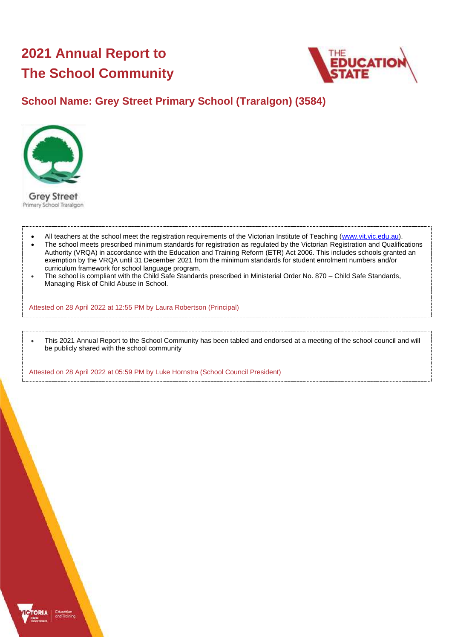# **2021 Annual Report to The School Community**



# **School Name: Grey Street Primary School (Traralgon) (3584)**



- All teachers at the school meet the registration requirements of the Victorian Institute of Teaching [\(www.vit.vic.edu.au\)](https://www.vit.vic.edu.au/).
- The school meets prescribed minimum standards for registration as regulated by the Victorian Registration and Qualifications Authority (VRQA) in accordance with the Education and Training Reform (ETR) Act 2006. This includes schools granted an exemption by the VRQA until 31 December 2021 from the minimum standards for student enrolment numbers and/or curriculum framework for school language program.
- The school is compliant with the Child Safe Standards prescribed in Ministerial Order No. 870 Child Safe Standards, Managing Risk of Child Abuse in School.

Attested on 28 April 2022 at 12:55 PM by Laura Robertson (Principal)

• This 2021 Annual Report to the School Community has been tabled and endorsed at a meeting of the school council and will be publicly shared with the school community

Attested on 28 April 2022 at 05:59 PM by Luke Hornstra (School Council President)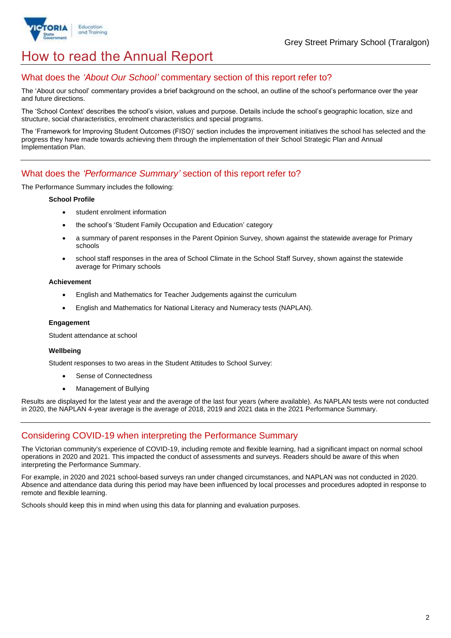

# How to read the Annual Report

### What does the *'About Our School'* commentary section of this report refer to?

The 'About our school' commentary provides a brief background on the school, an outline of the school's performance over the year and future directions.

The 'School Context' describes the school's vision, values and purpose. Details include the school's geographic location, size and structure, social characteristics, enrolment characteristics and special programs.

The 'Framework for Improving Student Outcomes (FISO)' section includes the improvement initiatives the school has selected and the progress they have made towards achieving them through the implementation of their School Strategic Plan and Annual Implementation Plan.

### What does the *'Performance Summary'* section of this report refer to?

The Performance Summary includes the following:

#### **School Profile**

- student enrolment information
- the school's 'Student Family Occupation and Education' category
- a summary of parent responses in the Parent Opinion Survey, shown against the statewide average for Primary schools
- school staff responses in the area of School Climate in the School Staff Survey, shown against the statewide average for Primary schools

#### **Achievement**

- English and Mathematics for Teacher Judgements against the curriculum
- English and Mathematics for National Literacy and Numeracy tests (NAPLAN).

### **Engagement**

Student attendance at school

### **Wellbeing**

Student responses to two areas in the Student Attitudes to School Survey:

- Sense of Connectedness
- Management of Bullying

Results are displayed for the latest year and the average of the last four years (where available). As NAPLAN tests were not conducted in 2020, the NAPLAN 4-year average is the average of 2018, 2019 and 2021 data in the 2021 Performance Summary.

### Considering COVID-19 when interpreting the Performance Summary

The Victorian community's experience of COVID-19, including remote and flexible learning, had a significant impact on normal school operations in 2020 and 2021. This impacted the conduct of assessments and surveys. Readers should be aware of this when interpreting the Performance Summary.

For example, in 2020 and 2021 school-based surveys ran under changed circumstances, and NAPLAN was not conducted in 2020. Absence and attendance data during this period may have been influenced by local processes and procedures adopted in response to remote and flexible learning.

Schools should keep this in mind when using this data for planning and evaluation purposes.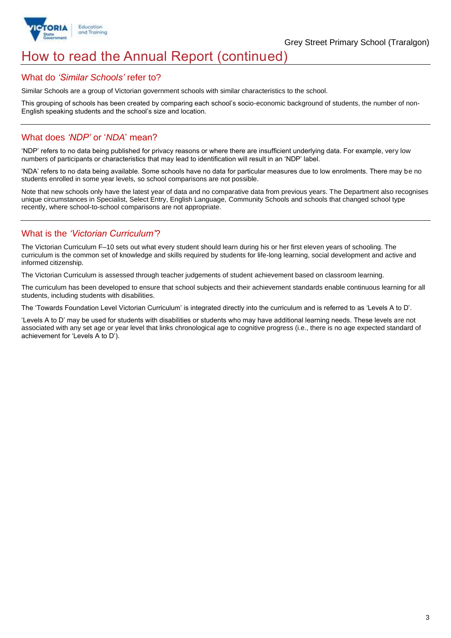

# How to read the Annual Report (continued)

### What do *'Similar Schools'* refer to?

Similar Schools are a group of Victorian government schools with similar characteristics to the school.

This grouping of schools has been created by comparing each school's socio-economic background of students, the number of non-English speaking students and the school's size and location.

### What does *'NDP'* or '*NDA*' mean?

'NDP' refers to no data being published for privacy reasons or where there are insufficient underlying data. For example, very low numbers of participants or characteristics that may lead to identification will result in an 'NDP' label.

'NDA' refers to no data being available. Some schools have no data for particular measures due to low enrolments. There may be no students enrolled in some year levels, so school comparisons are not possible.

Note that new schools only have the latest year of data and no comparative data from previous years. The Department also recognises unique circumstances in Specialist, Select Entry, English Language, Community Schools and schools that changed school type recently, where school-to-school comparisons are not appropriate.

### What is the *'Victorian Curriculum'*?

The Victorian Curriculum F–10 sets out what every student should learn during his or her first eleven years of schooling. The curriculum is the common set of knowledge and skills required by students for life-long learning, social development and active and informed citizenship.

The Victorian Curriculum is assessed through teacher judgements of student achievement based on classroom learning.

The curriculum has been developed to ensure that school subjects and their achievement standards enable continuous learning for all students, including students with disabilities.

The 'Towards Foundation Level Victorian Curriculum' is integrated directly into the curriculum and is referred to as 'Levels A to D'.

'Levels A to D' may be used for students with disabilities or students who may have additional learning needs. These levels are not associated with any set age or year level that links chronological age to cognitive progress (i.e., there is no age expected standard of achievement for 'Levels A to D').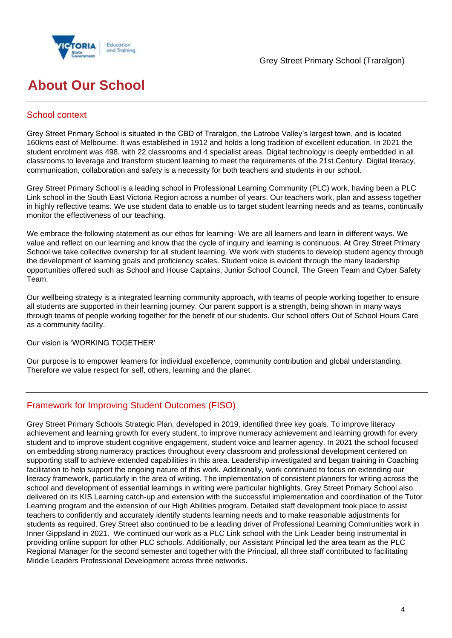

# **About Our School**

## School context

Grey Street Primary School is situated in the CBD of Traralgon, the Latrobe Valley's largest town, and is located 160kms east of Melbourne. It was established in 1912 and holds a long tradition of excellent education. In 2021 the student enrolment was 498, with 22 classrooms and 4 specialist areas. Digital technology is deeply embedded in all classrooms to leverage and transform student learning to meet the requirements of the 21st Century. Digital literacy, communication, collaboration and safety is a necessity for both teachers and students in our school.

Grey Street Primary School is a leading school in Professional Learning Community (PLC) work, having been a PLC Link school in the South East Victoria Region across a number of years. Our teachers work, plan and assess together in highly reflective teams. We use student data to enable us to target student learning needs and as teams, continually monitor the effectiveness of our teaching.

We embrace the following statement as our ethos for learning- We are all learners and learn in different ways. We value and reflect on our learning and know that the cycle of inquiry and learning is continuous. At Grey Street Primary School we take collective ownership for all student learning. We work with students to develop student agency through the development of learning goals and proficiency scales. Student voice is evident through the many leadership opportunities offered such as School and House Captains, Junior School Council, The Green Team and Cyber Safety Team.

Our wellbeing strategy is a integrated learning community approach, with teams of people working together to ensure all students are supported in their learning journey. Our parent support is a strength, being shown in many ways through teams of people working together for the benefit of our students. Our school offers Out of School Hours Care as a community facility.

Our vision is 'WORKING TOGETHER'

Our purpose is to empower learners for individual excellence, community contribution and global understanding. Therefore we value respect for self, others, learning and the planet.

## Framework for Improving Student Outcomes (FISO)

Grey Street Primary Schools Strategic Plan, developed in 2019, identified three key goals. To improve literacy achievement and learning growth for every student, to improve numeracy achievement and learning growth for every student and to improve student cognitive engagement, student voice and learner agency. In 2021 the school focused on embedding strong numeracy practices throughout every classroom and professional development centered on supporting staff to achieve extended capabilities in this area. Leadership investigated and began training in Coaching facilitation to help support the ongoing nature of this work. Additionally, work continued to focus on extending our literacy framework, particularly in the area of writing. The implementation of consistent planners for writing across the school and development of essential learnings in writing were particular highlights. Grey Street Primary School also delivered on its KIS Learning catch-up and extension with the successful implementation and coordination of the Tutor Learning program and the extension of our High Abilities program. Detailed staff development took place to assist teachers to confidently and accurately identify students learning needs and to make reasonable adjustments for students as required. Grey Street also continued to be a leading driver of Professional Learning Communities work in Inner Gippsland in 2021. We continued our work as a PLC Link school with the Link Leader being instrumental in providing online support for other PLC schools. Additionally, our Assistant Principal led the area team as the PLC Regional Manager for the second semester and together with the Principal, all three staff contributed to facilitating Middle Leaders Professional Development across three networks.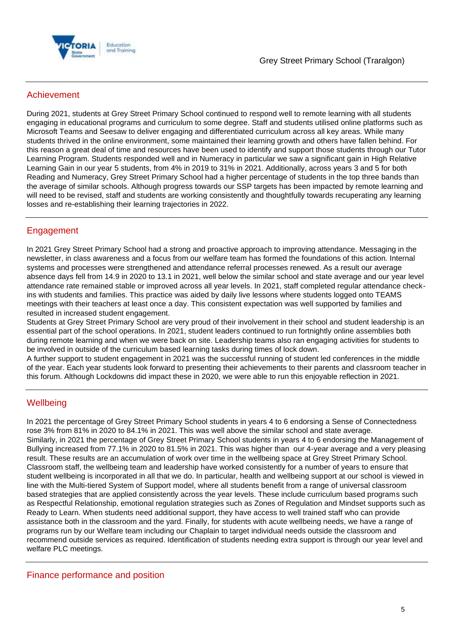

## Achievement

During 2021, students at Grey Street Primary School continued to respond well to remote learning with all students engaging in educational programs and curriculum to some degree. Staff and students utilised online platforms such as Microsoft Teams and Seesaw to deliver engaging and differentiated curriculum across all key areas. While many students thrived in the online environment, some maintained their learning growth and others have fallen behind. For this reason a great deal of time and resources have been used to identify and support those students through our Tutor Learning Program. Students responded well and in Numeracy in particular we saw a significant gain in High Relative Learning Gain in our year 5 students, from 4% in 2019 to 31% in 2021. Additionally, across years 3 and 5 for both Reading and Numeracy, Grey Street Primary School had a higher percentage of students in the top three bands than the average of similar schools. Although progress towards our SSP targets has been impacted by remote learning and will need to be revised, staff and students are working consistently and thoughtfully towards recuperating any learning losses and re-establishing their learning trajectories in 2022.

# Engagement

In 2021 Grey Street Primary School had a strong and proactive approach to improving attendance. Messaging in the newsletter, in class awareness and a focus from our welfare team has formed the foundations of this action. Internal systems and processes were strengthened and attendance referral processes renewed. As a result our average absence days fell from 14.9 in 2020 to 13.1 in 2021, well below the similar school and state average and our year level attendance rate remained stable or improved across all year levels. In 2021, staff completed regular attendance checkins with students and families. This practice was aided by daily live lessons where students logged onto TEAMS meetings with their teachers at least once a day. This consistent expectation was well supported by families and resulted in increased student engagement.

Students at Grey Street Primary School are very proud of their involvement in their school and student leadership is an essential part of the school operations. In 2021, student leaders continued to run fortnightly online assemblies both during remote learning and when we were back on site. Leadership teams also ran engaging activities for students to be involved in outside of the curriculum based learning tasks during times of lock down.

A further support to student engagement in 2021 was the successful running of student led conferences in the middle of the year. Each year students look forward to presenting their achievements to their parents and classroom teacher in this forum. Although Lockdowns did impact these in 2020, we were able to run this enjoyable reflection in 2021.

## **Wellbeing**

In 2021 the percentage of Grey Street Primary School students in years 4 to 6 endorsing a Sense of Connectedness rose 3% from 81% in 2020 to 84.1% in 2021. This was well above the similar school and state average. Similarly, in 2021 the percentage of Grey Street Primary School students in years 4 to 6 endorsing the Management of Bullying increased from 77.1% in 2020 to 81.5% in 2021. This was higher than our 4-year average and a very pleasing result. These results are an accumulation of work over time in the wellbeing space at Grey Street Primary School. Classroom staff, the wellbeing team and leadership have worked consistently for a number of years to ensure that student wellbeing is incorporated in all that we do. In particular, health and wellbeing support at our school is viewed in line with the Multi-tiered System of Support model, where all students benefit from a range of universal classroom based strategies that are applied consistently across the year levels. These include curriculum based programs such as Respectful Relationship, emotional regulation strategies such as Zones of Regulation and Mindset supports such as Ready to Learn. When students need additional support, they have access to well trained staff who can provide assistance both in the classroom and the yard. Finally, for students with acute wellbeing needs, we have a range of programs run by our Welfare team including our Chaplain to target individual needs outside the classroom and recommend outside services as required. Identification of students needing extra support is through our year level and welfare PLC meetings.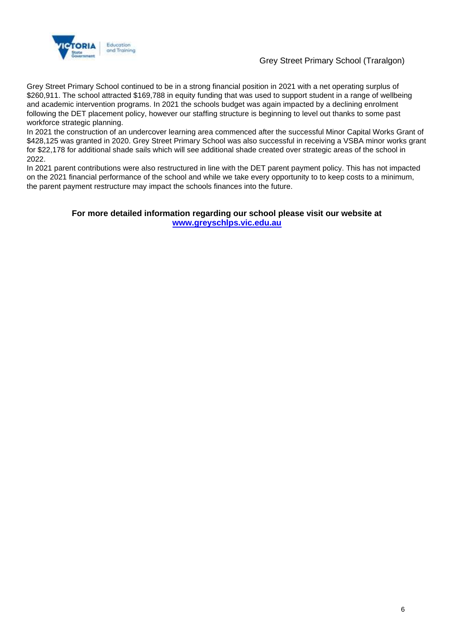

### Grey Street Primary School (Traralgon)

Grey Street Primary School continued to be in a strong financial position in 2021 with a net operating surplus of \$260,911. The school attracted \$169,788 in equity funding that was used to support student in a range of wellbeing and academic intervention programs. In 2021 the schools budget was again impacted by a declining enrolment following the DET placement policy, however our staffing structure is beginning to level out thanks to some past workforce strategic planning.

In 2021 the construction of an undercover learning area commenced after the successful Minor Capital Works Grant of \$428,125 was granted in 2020. Grey Street Primary School was also successful in receiving a VSBA minor works grant for \$22,178 for additional shade sails which will see additional shade created over strategic areas of the school in 2022.

In 2021 parent contributions were also restructured in line with the DET parent payment policy. This has not impacted on the 2021 financial performance of the school and while we take every opportunity to to keep costs to a minimum, the parent payment restructure may impact the schools finances into the future.

### **For more detailed information regarding our school please visit our website at [www.greyschlps.vic.edu.au](file:///C:/Users/08490034/Downloads/www.greyschlps.vic.edu.au)**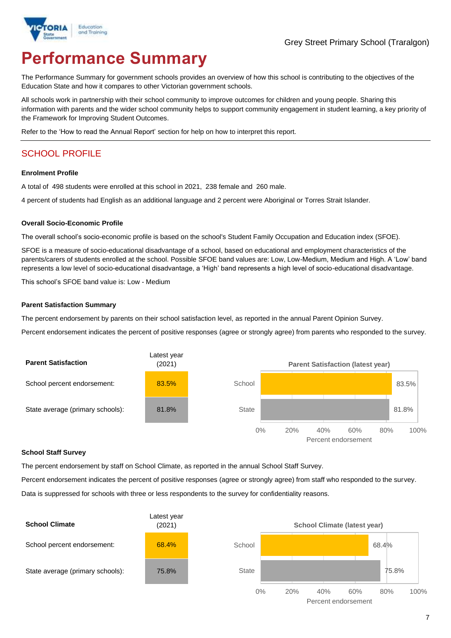

# **Performance Summary**

The Performance Summary for government schools provides an overview of how this school is contributing to the objectives of the Education State and how it compares to other Victorian government schools.

All schools work in partnership with their school community to improve outcomes for children and young people. Sharing this information with parents and the wider school community helps to support community engagement in student learning, a key priority of the Framework for Improving Student Outcomes.

Refer to the 'How to read the Annual Report' section for help on how to interpret this report.

# SCHOOL PROFILE

#### **Enrolment Profile**

A total of 498 students were enrolled at this school in 2021, 238 female and 260 male.

4 percent of students had English as an additional language and 2 percent were Aboriginal or Torres Strait Islander.

#### **Overall Socio-Economic Profile**

The overall school's socio-economic profile is based on the school's Student Family Occupation and Education index (SFOE).

SFOE is a measure of socio-educational disadvantage of a school, based on educational and employment characteristics of the parents/carers of students enrolled at the school. Possible SFOE band values are: Low, Low-Medium, Medium and High. A 'Low' band represents a low level of socio-educational disadvantage, a 'High' band represents a high level of socio-educational disadvantage.

This school's SFOE band value is: Low - Medium

#### **Parent Satisfaction Summary**

The percent endorsement by parents on their school satisfaction level, as reported in the annual Parent Opinion Survey.

Percent endorsement indicates the percent of positive responses (agree or strongly agree) from parents who responded to the survey.



### **School Staff Survey**

The percent endorsement by staff on School Climate, as reported in the annual School Staff Survey.

Percent endorsement indicates the percent of positive responses (agree or strongly agree) from staff who responded to the survey. Data is suppressed for schools with three or less respondents to the survey for confidentiality reasons.

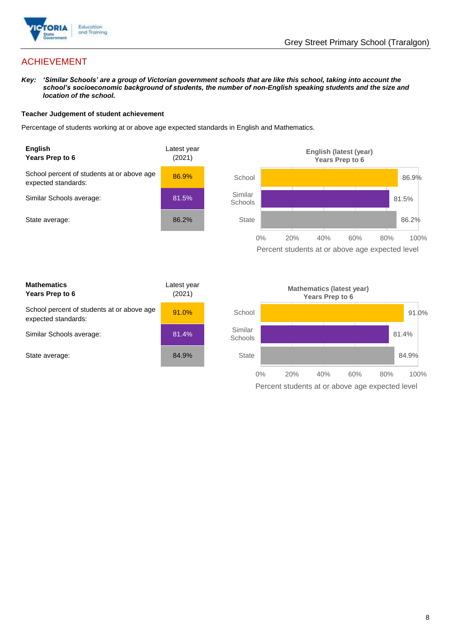

# ACHIEVEMENT

*Key: 'Similar Schools' are a group of Victorian government schools that are like this school, taking into account the school's socioeconomic background of students, the number of non-English speaking students and the size and location of the school.*

### **Teacher Judgement of student achievement**

Percentage of students working at or above age expected standards in English and Mathematics.



Percent students at or above age expected level

| <b>Mathematics</b><br>Years Prep to 6                             | Latest year<br>(2021) |
|-------------------------------------------------------------------|-----------------------|
| School percent of students at or above age<br>expected standards: | 91.0%                 |
| Similar Schools average:                                          | 81.4%                 |
| State average:                                                    | 84.9%                 |

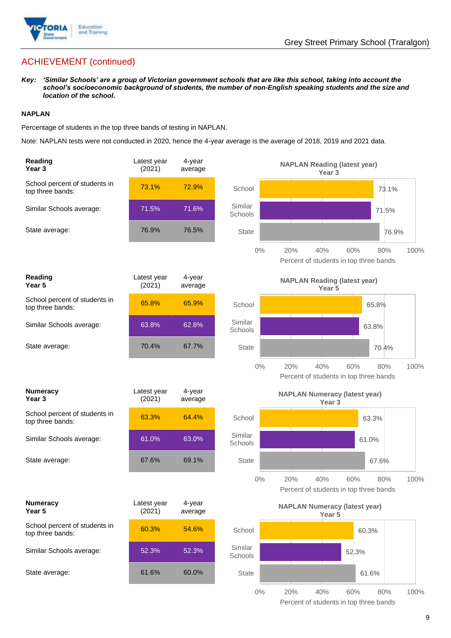

# ACHIEVEMENT (continued)

*Key: 'Similar Schools' are a group of Victorian government schools that are like this school, taking into account the school's socioeconomic background of students, the number of non-English speaking students and the size and location of the school.*

### **NAPLAN**

Percentage of students in the top three bands of testing in NAPLAN.

Note: NAPLAN tests were not conducted in 2020, hence the 4-year average is the average of 2018, 2019 and 2021 data.

| Reading<br>Year <sub>3</sub>                      | Latest year<br>(2021) | 4-year<br>average |                    | <b>NAPLAN Reading (latest year)</b><br>Year <sub>3</sub>                   |
|---------------------------------------------------|-----------------------|-------------------|--------------------|----------------------------------------------------------------------------|
| School percent of students in<br>top three bands: | 73.1%                 | 72.9%             | School             | 73.1%                                                                      |
| Similar Schools average:                          | 71.5%                 | 71.6%             | Similar<br>Schools | 71.5%                                                                      |
| State average:                                    | 76.9%                 | 76.5%             | <b>State</b>       | 76.9%                                                                      |
|                                                   |                       |                   | $0\%$              | 20%<br>40%<br>60%<br>100%<br>80%<br>Percent of students in top three bands |
| Reading<br>Year <sub>5</sub>                      | Latest year<br>(2021) | 4-year<br>average |                    | <b>NAPLAN Reading (latest year)</b><br>Year 5                              |
| School percent of students in<br>top three bands: | 65.8%                 | 65.9%             | School             | 65.8%                                                                      |
| Similar Schools average:                          | 63.8%                 | 62.8%             | Similar<br>Schools | 63.8%                                                                      |
| State average:                                    | 70.4%                 | 67.7%             | <b>State</b>       | 70.4%                                                                      |
|                                                   |                       |                   | $0\%$              | 20%<br>40%<br>60%<br>80%<br>100%<br>Percent of students in top three bands |
|                                                   |                       |                   |                    |                                                                            |
| <b>Numeracy</b><br>Year <sub>3</sub>              | Latest year<br>(2021) | 4-year<br>average |                    | <b>NAPLAN Numeracy (latest year)</b><br>Year <sub>3</sub>                  |
| School percent of students in<br>top three bands: | 63.3%                 | 64.4%             | School             | 63.3%                                                                      |
| Similar Schools average:                          | 61.0%                 | 63.0%             | Similar<br>Schools | 61.0%                                                                      |
| State average:                                    | 67.6%                 | 69.1%             | <b>State</b>       | 67.6%                                                                      |
|                                                   |                       |                   | $0\%$              | 20%<br>40%<br>60%<br>80%<br>100%<br>Percent of students in top three bands |
| <b>Numeracy</b><br>Year 5                         | Latest year<br>(2021) | 4-year<br>average |                    | <b>NAPLAN Numeracy (latest year)</b><br>Year 5                             |
| School percent of students in<br>top three bands: | 60.3%                 | 54.6%             | School             | 60.3%                                                                      |
| Similar Schools average:                          | 52.3%                 | 52.3%             | Similar<br>Schools | 52.3%                                                                      |
| State average:                                    | 61.6%                 | 60.0%             | <b>State</b>       | 61.6%                                                                      |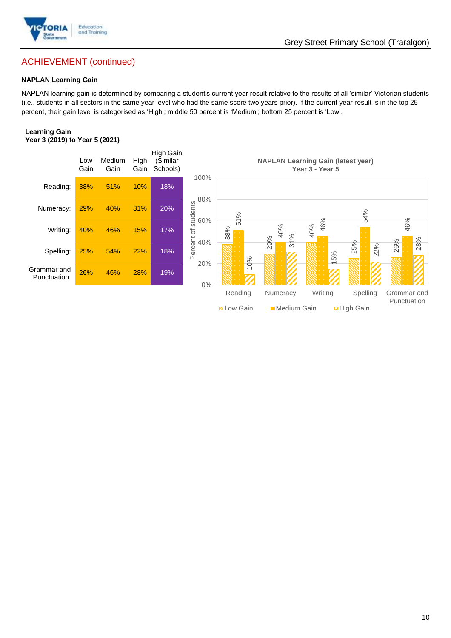

# ACHIEVEMENT (continued)

### **NAPLAN Learning Gain**

NAPLAN learning gain is determined by comparing a student's current year result relative to the results of all 'similar' Victorian students (i.e., students in all sectors in the same year level who had the same score two years prior). If the current year result is in the top 25 percent, their gain level is categorised as 'High'; middle 50 percent is 'Medium'; bottom 25 percent is 'Low'.

### **Learning Gain Year 3 (2019) to Year 5 (2021)**



**BLow Gain** Medium Gain **Da High Gain**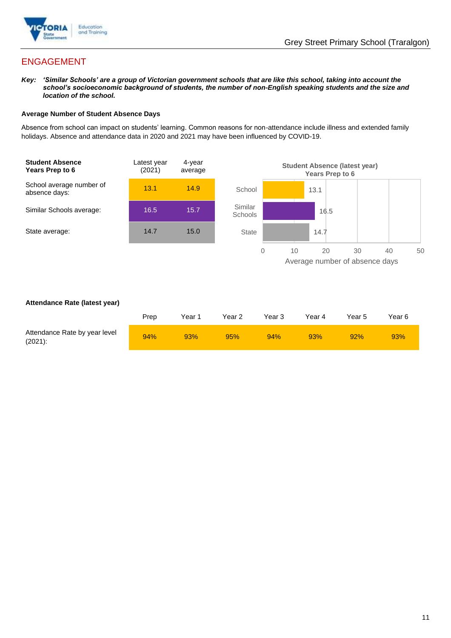

# ENGAGEMENT

*Key: 'Similar Schools' are a group of Victorian government schools that are like this school, taking into account the school's socioeconomic background of students, the number of non-English speaking students and the size and location of the school.*

### **Average Number of Student Absence Days**

Absence from school can impact on students' learning. Common reasons for non-attendance include illness and extended family holidays. Absence and attendance data in 2020 and 2021 may have been influenced by COVID-19.



### **Attendance Rate (latest year)**

|                                             | Prep | Year 1 | Year 2 | Year 3 | Year 4 | Year 5 | Year 6 |
|---------------------------------------------|------|--------|--------|--------|--------|--------|--------|
| Attendance Rate by year level<br>$(2021)$ : | 94%  | 93%    | 95%    | 94%    | 93%    | 92%    | 93%    |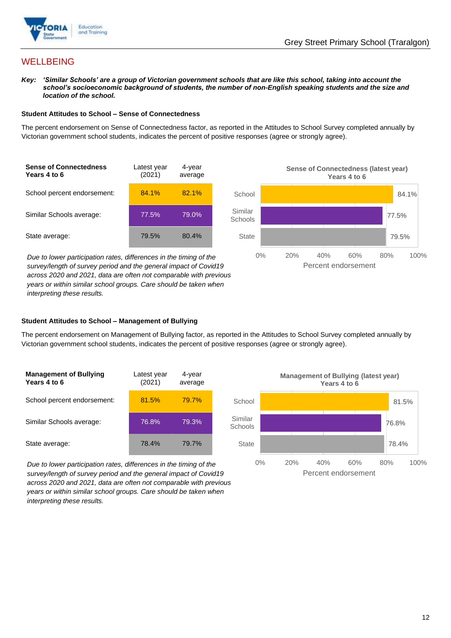

## **WELLBEING**

*Key: 'Similar Schools' are a group of Victorian government schools that are like this school, taking into account the*  school's socioeconomic background of students, the number of non-English speaking students and the size and *location of the school.*

### **Student Attitudes to School – Sense of Connectedness**

The percent endorsement on Sense of Connectedness factor, as reported in the Attitudes to School Survey completed annually by Victorian government school students, indicates the percent of positive responses (agree or strongly agree).



*Due to lower participation rates, differences in the timing of the survey/length of survey period and the general impact of Covid19 across 2020 and 2021, data are often not comparable with previous years or within similar school groups. Care should be taken when interpreting these results.*



### **Student Attitudes to School – Management of Bullying**

The percent endorsement on Management of Bullying factor, as reported in the Attitudes to School Survey completed annually by Victorian government school students, indicates the percent of positive responses (agree or strongly agree).

| <b>Management of Bullying</b><br>Years 4 to 6 | Latest year<br>(2021) | 4-year<br>average |  |
|-----------------------------------------------|-----------------------|-------------------|--|
| School percent endorsement:                   | 81.5%                 | 79.7%             |  |
| Similar Schools average:                      | 76.8%                 | 79.3%             |  |
| State average:                                | 78.4%                 | 79.7%             |  |

*Due to lower participation rates, differences in the timing of the survey/length of survey period and the general impact of Covid19 across 2020 and 2021, data are often not comparable with previous years or within similar school groups. Care should be taken when interpreting these results.*

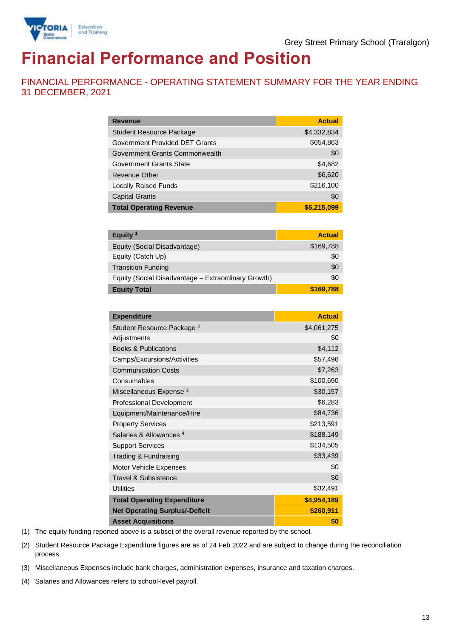

# **Financial Performance and Position**

FINANCIAL PERFORMANCE - OPERATING STATEMENT SUMMARY FOR THE YEAR ENDING 31 DECEMBER, 2021

| <b>Revenue</b>                  | <b>Actual</b> |
|---------------------------------|---------------|
| <b>Student Resource Package</b> | \$4,332,834   |
| Government Provided DET Grants  | \$654,863     |
| Government Grants Commonwealth  | \$0           |
| Government Grants State         | \$4,682       |
| Revenue Other                   | \$6,620       |
| <b>Locally Raised Funds</b>     | \$216,100     |
| <b>Capital Grants</b>           | \$0           |
| <b>Total Operating Revenue</b>  | \$5,215,099   |

| Equity <sup>1</sup>                                 | <b>Actual</b> |
|-----------------------------------------------------|---------------|
| Equity (Social Disadvantage)                        | \$169,788     |
| Equity (Catch Up)                                   | \$0           |
| <b>Transition Funding</b>                           | \$0           |
| Equity (Social Disadvantage - Extraordinary Growth) | \$0           |
| <b>Equity Total</b>                                 | \$169,788     |

| <b>Expenditure</b>                    | <b>Actual</b> |
|---------------------------------------|---------------|
| Student Resource Package <sup>2</sup> | \$4,061,275   |
| Adjustments                           | \$0           |
| <b>Books &amp; Publications</b>       | \$4,112       |
| Camps/Excursions/Activities           | \$57,496      |
| <b>Communication Costs</b>            | \$7,263       |
| Consumables                           | \$100,690     |
| Miscellaneous Expense <sup>3</sup>    | \$30,157      |
| <b>Professional Development</b>       | \$6,283       |
| Equipment/Maintenance/Hire            | \$84,736      |
| <b>Property Services</b>              | \$213,591     |
| Salaries & Allowances <sup>4</sup>    | \$188,149     |
| <b>Support Services</b>               | \$134,505     |
| Trading & Fundraising                 | \$33,439      |
| Motor Vehicle Expenses                | \$0           |
| Travel & Subsistence                  | \$0           |
| <b>Utilities</b>                      | \$32,491      |
| <b>Total Operating Expenditure</b>    | \$4,954,189   |
| <b>Net Operating Surplus/-Deficit</b> | \$260,911     |
| <b>Asset Acquisitions</b>             | \$0           |

(1) The equity funding reported above is a subset of the overall revenue reported by the school.

(2) Student Resource Package Expenditure figures are as of 24 Feb 2022 and are subject to change during the reconciliation process.

(3) Miscellaneous Expenses include bank charges, administration expenses, insurance and taxation charges.

(4) Salaries and Allowances refers to school-level payroll.